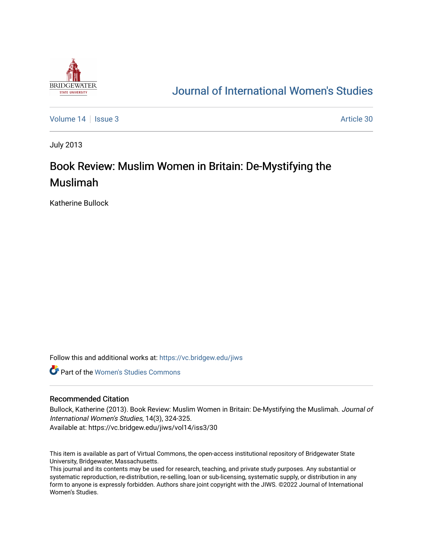

## [Journal of International Women's Studies](https://vc.bridgew.edu/jiws)

[Volume 14](https://vc.bridgew.edu/jiws/vol14) Sexue 3 Article 30

July 2013

# Book Review: Muslim Women in Britain: De-Mystifying the Muslimah

Katherine Bullock

Follow this and additional works at: [https://vc.bridgew.edu/jiws](https://vc.bridgew.edu/jiws?utm_source=vc.bridgew.edu%2Fjiws%2Fvol14%2Fiss3%2F30&utm_medium=PDF&utm_campaign=PDFCoverPages)

**C** Part of the Women's Studies Commons

#### Recommended Citation

Bullock, Katherine (2013). Book Review: Muslim Women in Britain: De-Mystifying the Muslimah. Journal of International Women's Studies, 14(3), 324-325.

Available at: https://vc.bridgew.edu/jiws/vol14/iss3/30

This item is available as part of Virtual Commons, the open-access institutional repository of Bridgewater State University, Bridgewater, Massachusetts.

This journal and its contents may be used for research, teaching, and private study purposes. Any substantial or systematic reproduction, re-distribution, re-selling, loan or sub-licensing, systematic supply, or distribution in any form to anyone is expressly forbidden. Authors share joint copyright with the JIWS. ©2022 Journal of International Women's Studies.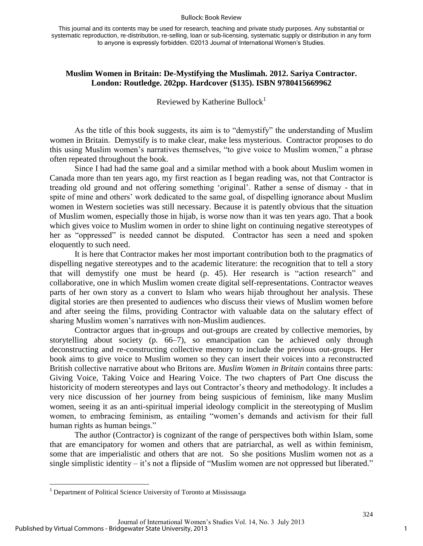#### Bullock: Book Review

This journal and its contents may be used for research, teaching and private study purposes. Any substantial or systematic reproduction, re-distribution, re-selling, loan or sub-licensing, systematic supply or distribution in any form to anyone is expressly forbidden. ©2013 Journal of International Women's Studies.

### **Muslim Women in Britain: De-Mystifying the Muslimah. 2012. Sariya Contractor. London: Routledge. 202pp. Hardcover (\$135). ISBN 9780415669962**

Reviewed by Katherine Bullock<sup>1</sup>

As the title of this book suggests, its aim is to "demystify" the understanding of Muslim women in Britain. Demystify is to make clear, make less mysterious. Contractor proposes to do this using Muslim women's narratives themselves, "to give voice to Muslim women," a phrase often repeated throughout the book.

Since I had had the same goal and a similar method with a book about Muslim women in Canada more than ten years ago, my first reaction as I began reading was, not that Contractor is treading old ground and not offering something 'original'. Rather a sense of dismay - that in spite of mine and others' work dedicated to the same goal, of dispelling ignorance about Muslim women in Western societies was still necessary. Because it is patently obvious that the situation of Muslim women, especially those in hijab, is worse now than it was ten years ago. That a book which gives voice to Muslim women in order to shine light on continuing negative stereotypes of her as "oppressed" is needed cannot be disputed. Contractor has seen a need and spoken eloquently to such need.

It is here that Contractor makes her most important contribution both to the pragmatics of dispelling negative stereotypes and to the academic literature: the recognition that to tell a story that will demystify one must be heard (p. 45). Her research is "action research" and collaborative, one in which Muslim women create digital self-representations. Contractor weaves parts of her own story as a convert to Islam who wears hijab throughout her analysis. These digital stories are then presented to audiences who discuss their views of Muslim women before and after seeing the films, providing Contractor with valuable data on the salutary effect of sharing Muslim women's narratives with non-Muslim audiences.

Contractor argues that in-groups and out-groups are created by collective memories, by storytelling about society (p. 66–7), so emancipation can be achieved only through deconstructing and re-constructing collective memory to include the previous out-groups. Her book aims to give voice to Muslim women so they can insert their voices into a reconstructed British collective narrative about who Britons are. *Muslim Women in Britain* contains three parts: Giving Voice, Taking Voice and Hearing Voice. The two chapters of Part One discuss the historicity of modern stereotypes and lays out Contractor's theory and methodology. It includes a very nice discussion of her journey from being suspicious of feminism, like many Muslim women, seeing it as an anti-spiritual imperial ideology complicit in the stereotyping of Muslim women, to embracing feminism, as entailing "women's demands and activism for their full human rights as human beings."

The author (Contractor) is cognizant of the range of perspectives both within Islam, some that are emancipatory for women and others that are patriarchal, as well as within feminism, some that are imperialistic and others that are not. So she positions Muslim women not as a single simplistic identity – it's not a flipside of "Muslim women are not oppressed but liberated."

 $\overline{\phantom{a}}$ 

<sup>&</sup>lt;sup>1</sup> Department of Political Science University of Toronto at Mississauga